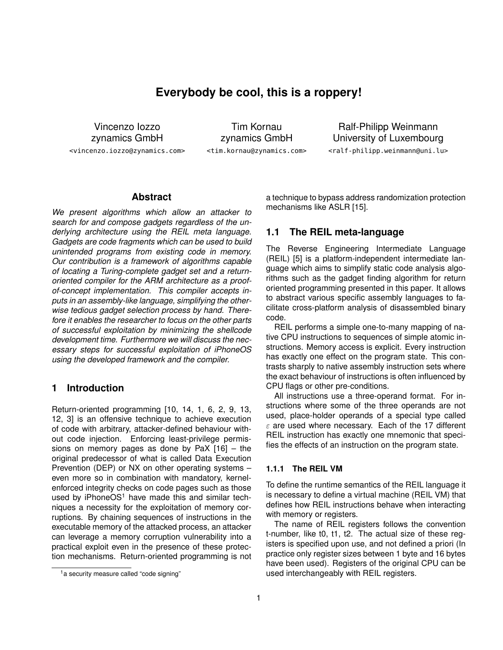# **Everybody be cool, this is a roppery!**

Vincenzo Iozzo zynamics GmbH <vincenzo.iozzo@zynamics.com>

Tim Kornau zynamics GmbH <tim.kornau@zynamics.com>

Ralf-Philipp Weinmann University of Luxembourg <ralf-philipp.weinmann@uni.lu>

#### **Abstract**

*We present algorithms which allow an attacker to search for and compose gadgets regardless of the underlying architecture using the REIL meta language. Gadgets are code fragments which can be used to build unintended programs from existing code in memory. Our contribution is a framework of algorithms capable of locating a Turing-complete gadget set and a returnoriented compiler for the ARM architecture as a proofof-concept implementation. This compiler accepts inputs in an assembly-like language, simplifying the otherwise tedious gadget selection process by hand. Therefore it enables the researcher to focus on the other parts of successful exploitation by minimizing the shellcode development time. Furthermore we will discuss the necessary steps for successful exploitation of iPhoneOS using the developed framework and the compiler.*

### **1 Introduction**

Return-oriented programming [10, 14, 1, 6, 2, 9, 13, 12, 3] is an offensive technique to achieve execution of code with arbitrary, attacker-defined behaviour without code injection. Enforcing least-privilege permissions on memory pages as done by PaX [16] – the original predecessor of what is called Data Execution Prevention (DEP) or NX on other operating systems – even more so in combination with mandatory, kernelenforced integrity checks on code pages such as those used by  $iPhoneOS<sup>1</sup>$  have made this and similar techniques a necessity for the exploitation of memory corruptions. By chaining sequences of instructions in the executable memory of the attacked process, an attacker can leverage a memory corruption vulnerability into a practical exploit even in the presence of these protection mechanisms. Return-oriented programming is not a technique to bypass address randomization protection mechanisms like ASLR [15].

#### **1.1 The REIL meta-language**

The Reverse Engineering Intermediate Language (REIL) [5] is a platform-independent intermediate language which aims to simplify static code analysis algorithms such as the gadget finding algorithm for return oriented programming presented in this paper. It allows to abstract various specific assembly languages to facilitate cross-platform analysis of disassembled binary code.

REIL performs a simple one-to-many mapping of native CPU instructions to sequences of simple atomic instructions. Memory access is explicit. Every instruction has exactly one effect on the program state. This contrasts sharply to native assembly instruction sets where the exact behaviour of instructions is often influenced by CPU flags or other pre-conditions.

All instructions use a three-operand format. For instructions where some of the three operands are not used, place-holder operands of a special type called  $\varepsilon$  are used where necessary. Each of the 17 different REIL instruction has exactly one mnemonic that specifies the effects of an instruction on the program state.

#### **1.1.1 The REIL VM**

To define the runtime semantics of the REIL language it is necessary to define a virtual machine (REIL VM) that defines how REIL instructions behave when interacting with memory or registers.

The name of REIL registers follows the convention t-number, like t0, t1, t2. The actual size of these registers is specified upon use, and not defined a priori (In practice only register sizes between 1 byte and 16 bytes have been used). Registers of the original CPU can be used interchangeably with REIL registers.

<sup>&</sup>lt;sup>1</sup> a security measure called "code signing"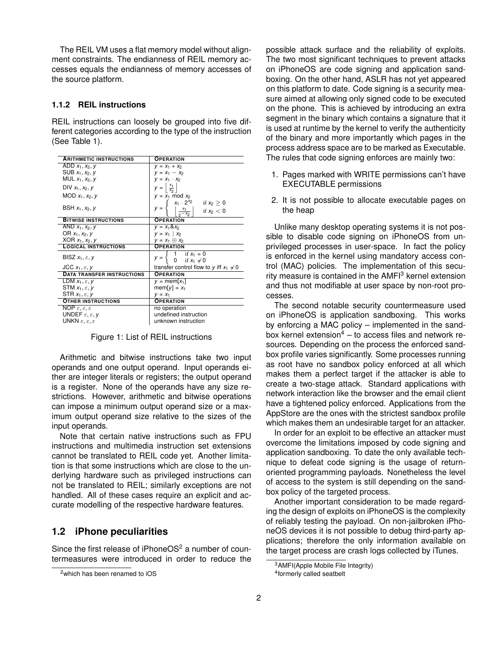The REIL VM uses a flat memory model without alignment constraints. The endianness of REIL memory accesses equals the endianness of memory accesses of the source platform.

#### **1.1.2 REIL instructions**

REIL instructions can loosely be grouped into five different categories according to the type of the instruction (See Table 1).

| <b>ARITHMETIC INSTRUCTIONS</b>               | <b>OPERATION</b>                                                                         |
|----------------------------------------------|------------------------------------------------------------------------------------------|
| ADD $x_1, x_2, y$                            | $y = x_1 + x_2$                                                                          |
| SUB $x_1, x_2, y$                            | $V = X_1 - X_2$                                                                          |
| MUL $x_1, x_2, y$                            | $V = X_1 \cdot X_2$                                                                      |
| DIV $x_1, x_2, y$                            | $rac{x_1}{x_2}$<br>$y =$                                                                 |
| MOD $x_1, x_2, y$                            | $y = x_1 \mod x_2$                                                                       |
|                                              |                                                                                          |
| BSH $x_1, x_2, y$                            | $x_1 \cdot 2^{x_2}$ if $x_2 \ge 0$<br>$\left  \frac{x_1}{2^{-x_2}} \right $ if $x_2 < 0$ |
| <b>BITWISE INSTRUCTIONS</b>                  | <b>OPERATION</b>                                                                         |
| $\overline{AND}$ $x_1, x_2, y$               | $y = x_1 \& x_2$                                                                         |
| OR $x_1, x_2, y$                             | $y = x_1   x_2$                                                                          |
| XOR $x_1, x_2, y$                            | $V = X_1 \oplus X_2$                                                                     |
| <b>LOGICAL INSTRUCTIONS</b>                  | <b>OPERATION</b>                                                                         |
| BISZ $x_1, \varepsilon, y$                   | $\begin{cases} 1 & \text{if } x_1 = 0 \\ 0 & \text{if } x_1 \neq 0 \end{cases}$          |
| JCC $x_1, \varepsilon, y$                    | transfer control flow to y iff $x_1 \neq 0$                                              |
| <b>DATA TRANSFER INSTRUCTIONS</b>            | <b>OPERATION</b>                                                                         |
| LDM $x_1, \varepsilon, y$                    | $v = \text{mem}[x_1]$                                                                    |
| STM $x_1, \varepsilon, y$                    | $\text{mem}[y] = x_1$                                                                    |
| STR $x_1, \varepsilon, v$                    | $V = X_1$                                                                                |
| <b>OTHER INSTRUCTIONS</b>                    | <b>OPERATION</b>                                                                         |
| NOP $\varepsilon, \varepsilon, \varepsilon$  | no operation                                                                             |
| UNDEF $\varepsilon, \varepsilon, \nu$        | undefined instruction                                                                    |
| UNKN $\varepsilon, \varepsilon, \varepsilon$ | unknown instruction                                                                      |

Figure 1: List of REIL instructions

Arithmetic and bitwise instructions take two input operands and one output operand. Input operands either are integer literals or registers; the output operand is a register. None of the operands have any size restrictions. However, arithmetic and bitwise operations can impose a minimum output operand size or a maximum output operand size relative to the sizes of the input operands.

Note that certain native instructions such as FPU instructions and multimedia instruction set extensions cannot be translated to REIL code yet. Another limitation is that some instructions which are close to the underlying hardware such as privileged instructions can not be translated to REIL; similarly exceptions are not handled. All of these cases require an explicit and accurate modelling of the respective hardware features.

#### **1.2 iPhone peculiarities**

Since the first release of iPhoneOS $2$  a number of countermeasures were introduced in order to reduce the possible attack surface and the reliability of exploits. The two most significant techniques to prevent attacks on iPhoneOS are code signing and application sandboxing. On the other hand, ASLR has not yet appeared on this platform to date. Code signing is a security measure aimed at allowing only signed code to be executed on the phone. This is achieved by introducing an extra segment in the binary which contains a signature that it is used at runtime by the kernel to verify the authenticity of the binary and more importantly which pages in the process address space are to be marked as Executable. The rules that code signing enforces are mainly two:

- 1. Pages marked with WRITE permissions can't have EXECUTABLE permissions
- 2. It is not possible to allocate executable pages on the heap

Unlike many desktop operating systems it is not possible to disable code signing on iPhoneOS from unprivileged processes in user-space. In fact the policy is enforced in the kernel using mandatory access control (MAC) policies. The implementation of this security measure is contained in the AMFI<sup>3</sup> kernel extension and thus not modifiable at user space by non-root processes.

The second notable security countermeasure used on iPhoneOS is application sandboxing. This works by enforcing a MAC policy – implemented in the sandbox kernel extension<sup>4</sup> – to access files and network resources. Depending on the process the enforced sandbox profile varies significantly. Some processes running as root have no sandbox policy enforced at all which makes them a perfect target if the attacker is able to create a two-stage attack. Standard applications with network interaction like the browser and the email client have a tightened policy enforced. Applications from the AppStore are the ones with the strictest sandbox profile which makes them an undesirable target for an attacker.

In order for an exploit to be effective an attacker must overcome the limitations imposed by code signing and application sandboxing. To date the only available technique to defeat code signing is the usage of returnoriented programming payloads. Nonetheless the level of access to the system is still depending on the sandbox policy of the targeted process.

Another important consideration to be made regarding the design of exploits on iPhoneOS is the complexity of reliably testing the payload. On non-jailbroken iPhoneOS devices it is not possible to debug third-party applications; therefore the only information available on the target process are crash logs collected by iTunes.

<sup>2</sup>which has been renamed to iOS

<sup>&</sup>lt;sup>3</sup>AMFI(Apple Mobile File Integrity)

<sup>4</sup> formerly called seatbelt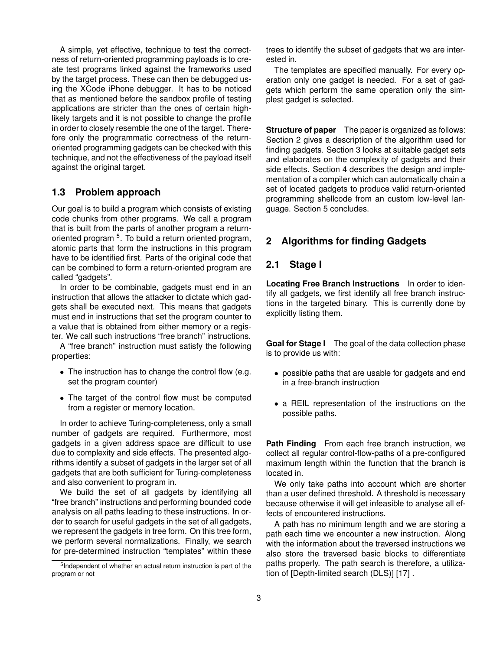A simple, yet effective, technique to test the correctness of return-oriented programming payloads is to create test programs linked against the frameworks used by the target process. These can then be debugged using the XCode iPhone debugger. It has to be noticed that as mentioned before the sandbox profile of testing applications are stricter than the ones of certain highlikely targets and it is not possible to change the profile in order to closely resemble the one of the target. Therefore only the programmatic correctness of the returnoriented programming gadgets can be checked with this technique, and not the effectiveness of the payload itself against the original target.

#### **1.3 Problem approach**

Our goal is to build a program which consists of existing code chunks from other programs. We call a program that is built from the parts of another program a returnoriented program<sup>5</sup>. To build a return oriented program, atomic parts that form the instructions in this program have to be identified first. Parts of the original code that can be combined to form a return-oriented program are called "gadgets".

In order to be combinable, gadgets must end in an instruction that allows the attacker to dictate which gadgets shall be executed next. This means that gadgets must end in instructions that set the program counter to a value that is obtained from either memory or a register. We call such instructions "free branch" instructions.

A "free branch" instruction must satisfy the following properties:

- The instruction has to change the control flow (e.g. set the program counter)
- The target of the control flow must be computed from a register or memory location.

In order to achieve Turing-completeness, only a small number of gadgets are required. Furthermore, most gadgets in a given address space are difficult to use due to complexity and side effects. The presented algorithms identify a subset of gadgets in the larger set of all gadgets that are both sufficient for Turing-completeness and also convenient to program in.

We build the set of all gadgets by identifying all "free branch" instructions and performing bounded code analysis on all paths leading to these instructions. In order to search for useful gadgets in the set of all gadgets, we represent the gadgets in tree form. On this tree form, we perform several normalizations. Finally, we search for pre-determined instruction "templates" within these

trees to identify the subset of gadgets that we are interested in.

The templates are specified manually. For every operation only one gadget is needed. For a set of gadgets which perform the same operation only the simplest gadget is selected.

**Structure of paper** The paper is organized as follows: Section 2 gives a description of the algorithm used for finding gadgets. Section 3 looks at suitable gadget sets and elaborates on the complexity of gadgets and their side effects. Section 4 describes the design and implementation of a compiler which can automatically chain a set of located gadgets to produce valid return-oriented programming shellcode from an custom low-level language. Section 5 concludes.

# **2 Algorithms for finding Gadgets**

### **2.1 Stage I**

**Locating Free Branch Instructions** In order to identify all gadgets, we first identify all free branch instructions in the targeted binary. This is currently done by explicitly listing them.

**Goal for Stage I** The goal of the data collection phase is to provide us with:

- possible paths that are usable for gadgets and end in a free-branch instruction
- a REIL representation of the instructions on the possible paths.

**Path Finding** From each free branch instruction, we collect all regular control-flow-paths of a pre-configured maximum length within the function that the branch is located in.

We only take paths into account which are shorter than a user defined threshold. A threshold is necessary because otherwise it will get infeasible to analyse all effects of encountered instructions.

A path has no minimum length and we are storing a path each time we encounter a new instruction. Along with the information about the traversed instructions we also store the traversed basic blocks to differentiate paths properly. The path search is therefore, a utilization of [Depth-limited search (DLS)] [17] .

<sup>5</sup> Independent of whether an actual return instruction is part of the program or not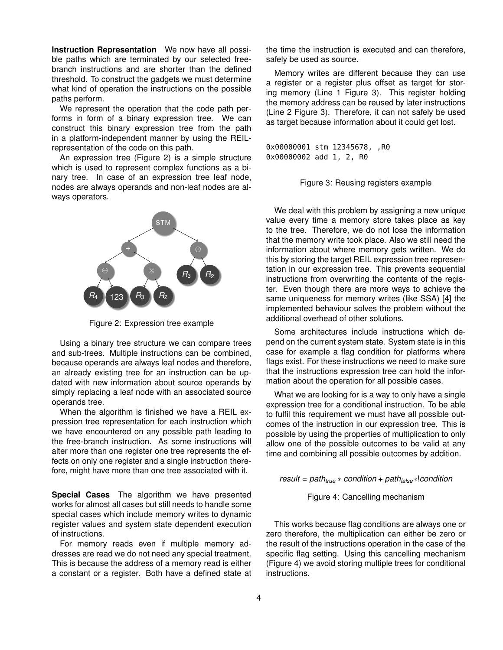**Instruction Representation** We now have all possible paths which are terminated by our selected freebranch instructions and are shorter than the defined threshold. To construct the gadgets we must determine what kind of operation the instructions on the possible paths perform.

We represent the operation that the code path performs in form of a binary expression tree. We can construct this binary expression tree from the path in a platform-independent manner by using the REILrepresentation of the code on this path.

An expression tree (Figure 2) is a simple structure which is used to represent complex functions as a binary tree. In case of an expression tree leaf node, nodes are always operands and non-leaf nodes are always operators.



Figure 2: Expression tree example

Using a binary tree structure we can compare trees and sub-trees. Multiple instructions can be combined, because operands are always leaf nodes and therefore, an already existing tree for an instruction can be updated with new information about source operands by simply replacing a leaf node with an associated source operands tree.

When the algorithm is finished we have a REIL expression tree representation for each instruction which we have encountered on any possible path leading to the free-branch instruction. As some instructions will alter more than one register one tree represents the effects on only one register and a single instruction therefore, might have more than one tree associated with it.

**Special Cases** The algorithm we have presented works for almost all cases but still needs to handle some special cases which include memory writes to dynamic register values and system state dependent execution of instructions.

For memory reads even if multiple memory addresses are read we do not need any special treatment. This is because the address of a memory read is either a constant or a register. Both have a defined state at

the time the instruction is executed and can therefore, safely be used as source.

Memory writes are different because they can use a register or a register plus offset as target for storing memory (Line 1 Figure 3). This register holding the memory address can be reused by later instructions (Line 2 Figure 3). Therefore, it can not safely be used as target because information about it could get lost.

0x00000001 stm 12345678, ,R0 0x00000002 add 1, 2, R0

Figure 3: Reusing registers example

We deal with this problem by assigning a new unique value every time a memory store takes place as key to the tree. Therefore, we do not lose the information that the memory write took place. Also we still need the information about where memory gets written. We do this by storing the target REIL expression tree representation in our expression tree. This prevents sequential instructions from overwriting the contents of the register. Even though there are more ways to achieve the same uniqueness for memory writes (like SSA) [4] the implemented behaviour solves the problem without the additional overhead of other solutions.

Some architectures include instructions which depend on the current system state. System state is in this case for example a flag condition for platforms where flags exist. For these instructions we need to make sure that the instructions expression tree can hold the information about the operation for all possible cases.

What we are looking for is a way to only have a single expression tree for a conditional instruction. To be able to fulfil this requirement we must have all possible outcomes of the instruction in our expression tree. This is possible by using the properties of multiplication to only allow one of the possible outcomes to be valid at any time and combining all possible outcomes by addition.

*result* = *pathtrue* ∗ *condition* + *pathfalse*∗!*condition*

#### Figure 4: Cancelling mechanism

This works because flag conditions are always one or zero therefore, the multiplication can either be zero or the result of the instructions operation in the case of the specific flag setting. Using this cancelling mechanism (Figure 4) we avoid storing multiple trees for conditional instructions.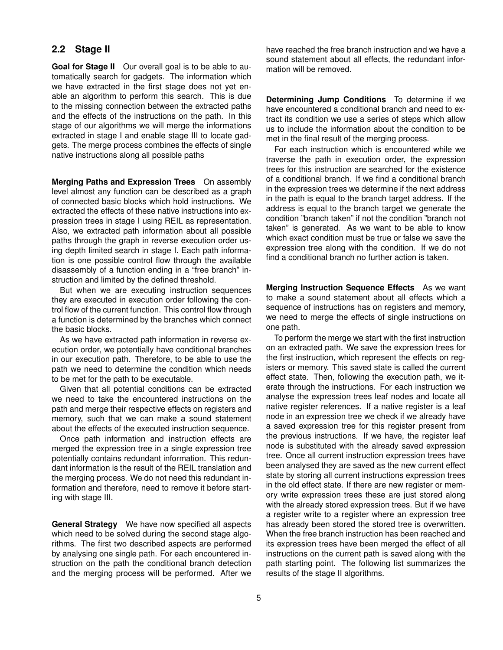## **2.2 Stage II**

**Goal for Stage II** Our overall goal is to be able to automatically search for gadgets. The information which we have extracted in the first stage does not yet enable an algorithm to perform this search. This is due to the missing connection between the extracted paths and the effects of the instructions on the path. In this stage of our algorithms we will merge the informations extracted in stage I and enable stage III to locate gadgets. The merge process combines the effects of single native instructions along all possible paths

**Merging Paths and Expression Trees** On assembly level almost any function can be described as a graph of connected basic blocks which hold instructions. We extracted the effects of these native instructions into expression trees in stage I using REIL as representation. Also, we extracted path information about all possible paths through the graph in reverse execution order using depth limited search in stage I. Each path information is one possible control flow through the available disassembly of a function ending in a "free branch" instruction and limited by the defined threshold.

But when we are executing instruction sequences they are executed in execution order following the control flow of the current function. This control flow through a function is determined by the branches which connect the basic blocks.

As we have extracted path information in reverse execution order, we potentially have conditional branches in our execution path. Therefore, to be able to use the path we need to determine the condition which needs to be met for the path to be executable.

Given that all potential conditions can be extracted we need to take the encountered instructions on the path and merge their respective effects on registers and memory, such that we can make a sound statement about the effects of the executed instruction sequence.

Once path information and instruction effects are merged the expression tree in a single expression tree potentially contains redundant information. This redundant information is the result of the REIL translation and the merging process. We do not need this redundant information and therefore, need to remove it before starting with stage III.

**General Strategy** We have now specified all aspects which need to be solved during the second stage algorithms. The first two described aspects are performed by analysing one single path. For each encountered instruction on the path the conditional branch detection and the merging process will be performed. After we have reached the free branch instruction and we have a sound statement about all effects, the redundant information will be removed.

**Determining Jump Conditions** To determine if we have encountered a conditional branch and need to extract its condition we use a series of steps which allow us to include the information about the condition to be met in the final result of the merging process.

For each instruction which is encountered while we traverse the path in execution order, the expression trees for this instruction are searched for the existence of a conditional branch. If we find a conditional branch in the expression trees we determine if the next address in the path is equal to the branch target address. If the address is equal to the branch target we generate the condition "branch taken" if not the condition "branch not taken" is generated. As we want to be able to know which exact condition must be true or false we save the expression tree along with the condition. If we do not find a conditional branch no further action is taken.

**Merging Instruction Sequence Effects** As we want to make a sound statement about all effects which a sequence of instructions has on registers and memory, we need to merge the effects of single instructions on one path.

To perform the merge we start with the first instruction on an extracted path. We save the expression trees for the first instruction, which represent the effects on registers or memory. This saved state is called the current effect state. Then, following the execution path, we iterate through the instructions. For each instruction we analyse the expression trees leaf nodes and locate all native register references. If a native register is a leaf node in an expression tree we check if we already have a saved expression tree for this register present from the previous instructions. If we have, the register leaf node is substituted with the already saved expression tree. Once all current instruction expression trees have been analysed they are saved as the new current effect state by storing all current instructions expression trees in the old effect state. If there are new register or memory write expression trees these are just stored along with the already stored expression trees. But if we have a register write to a register where an expression tree has already been stored the stored tree is overwritten. When the free branch instruction has been reached and its expression trees have been merged the effect of all instructions on the current path is saved along with the path starting point. The following list summarizes the results of the stage II algorithms.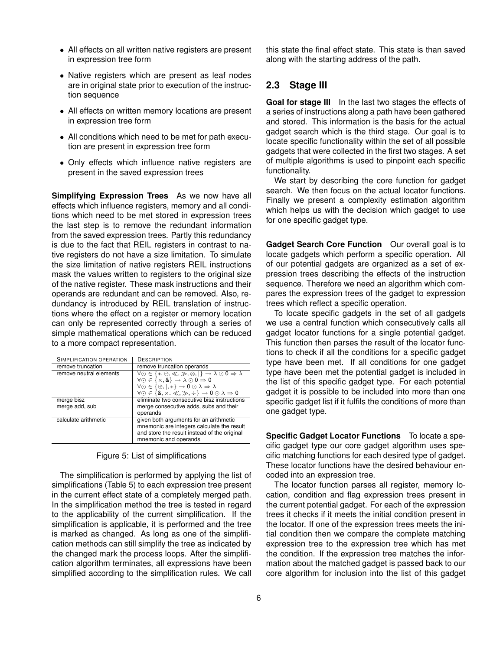- All effects on all written native registers are present in expression tree form
- Native registers which are present as leaf nodes are in original state prior to execution of the instruction sequence
- All effects on written memory locations are present in expression tree form
- All conditions which need to be met for path execution are present in expression tree form
- Only effects which influence native registers are present in the saved expression trees

**Simplifying Expression Trees** As we now have all effects which influence registers, memory and all conditions which need to be met stored in expression trees the last step is to remove the redundant information from the saved expression trees. Partly this redundancy is due to the fact that REIL registers in contrast to native registers do not have a size limitation. To simulate the size limitation of native registers REIL instructions mask the values written to registers to the original size of the native register. These mask instructions and their operands are redundant and can be removed. Also, redundancy is introduced by REIL translation of instructions where the effect on a register or memory location can only be represented correctly through a series of simple mathematical operations which can be reduced to a more compact representation.

| SIMPLIFICATION OPERATION | DESCRIPTION                                                                                                  |
|--------------------------|--------------------------------------------------------------------------------------------------------------|
| remove truncation        | remove truncation operands                                                                                   |
| remove neutral elements  | $\forall \odot \in \{+, \ominus, \ll, \gg, \otimes, \vert\} \rightarrow \lambda \odot 0 \Rightarrow \lambda$ |
|                          | $\forall \odot \in \{ \times, \& \} \rightarrow \lambda \odot 0 \Rightarrow 0$                               |
|                          | $\forall \odot \in \{\oplus,  , +\} \rightarrow 0 \odot \lambda \Rightarrow \lambda$                         |
|                          | $\forall \odot \in \{8, \times \cdot \ll, \gg, \div\} \rightarrow 0 \odot \lambda \Rightarrow 0$             |
| merge bisz               | eliminate two consecutive bisz instructions                                                                  |
| merge add, sub           | merge consecutive adds, subs and their                                                                       |
|                          | operands                                                                                                     |
| calculate arithmetic     | given both arguments for an arithmetic                                                                       |
|                          | mnemonic are integers calculate the result                                                                   |
|                          | and store the result instead of the original                                                                 |
|                          | mnemonic and operands                                                                                        |

| Figure 5: List of simplifications |  |  |
|-----------------------------------|--|--|
|                                   |  |  |
|                                   |  |  |
|                                   |  |  |

The simplification is performed by applying the list of simplifications (Table 5) to each expression tree present in the current effect state of a completely merged path. In the simplification method the tree is tested in regard to the applicability of the current simplification. If the simplification is applicable, it is performed and the tree is marked as changed. As long as one of the simplification methods can still simplify the tree as indicated by the changed mark the process loops. After the simplification algorithm terminates, all expressions have been simplified according to the simplification rules. We call this state the final effect state. This state is than saved along with the starting address of the path.

### **2.3 Stage III**

**Goal for stage III** In the last two stages the effects of a series of instructions along a path have been gathered and stored. This information is the basis for the actual gadget search which is the third stage. Our goal is to locate specific functionality within the set of all possible gadgets that were collected in the first two stages. A set of multiple algorithms is used to pinpoint each specific functionality.

We start by describing the core function for gadget search. We then focus on the actual locator functions. Finally we present a complexity estimation algorithm which helps us with the decision which gadget to use for one specific gadget type.

**Gadget Search Core Function** Our overall goal is to locate gadgets which perform a specific operation. All of our potential gadgets are organized as a set of expression trees describing the effects of the instruction sequence. Therefore we need an algorithm which compares the expression trees of the gadget to expression trees which reflect a specific operation.

To locate specific gadgets in the set of all gadgets we use a central function which consecutively calls all gadget locator functions for a single potential gadget. This function then parses the result of the locator functions to check if all the conditions for a specific gadget type have been met. If all conditions for one gadget type have been met the potential gadget is included in the list of this specific gadget type. For each potential gadget it is possible to be included into more than one specific gadget list if it fulfils the conditions of more than one gadget type.

**Specific Gadget Locator Functions** To locate a specific gadget type our core gadget algorithm uses specific matching functions for each desired type of gadget. These locator functions have the desired behaviour encoded into an expression tree.

The locator function parses all register, memory location, condition and flag expression trees present in the current potential gadget. For each of the expression trees it checks if it meets the initial condition present in the locator. If one of the expression trees meets the initial condition then we compare the complete matching expression tree to the expression tree which has met the condition. If the expression tree matches the information about the matched gadget is passed back to our core algorithm for inclusion into the list of this gadget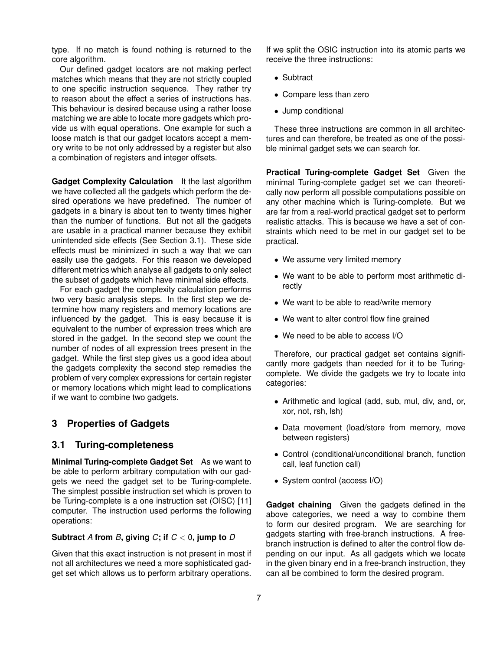type. If no match is found nothing is returned to the core algorithm.

Our defined gadget locators are not making perfect matches which means that they are not strictly coupled to one specific instruction sequence. They rather try to reason about the effect a series of instructions has. This behaviour is desired because using a rather loose matching we are able to locate more gadgets which provide us with equal operations. One example for such a loose match is that our gadget locators accept a memory write to be not only addressed by a register but also a combination of registers and integer offsets.

**Gadget Complexity Calculation** It the last algorithm we have collected all the gadgets which perform the desired operations we have predefined. The number of gadgets in a binary is about ten to twenty times higher than the number of functions. But not all the gadgets are usable in a practical manner because they exhibit unintended side effects (See Section 3.1). These side effects must be minimized in such a way that we can easily use the gadgets. For this reason we developed different metrics which analyse all gadgets to only select the subset of gadgets which have minimal side effects.

For each gadget the complexity calculation performs two very basic analysis steps. In the first step we determine how many registers and memory locations are influenced by the gadget. This is easy because it is equivalent to the number of expression trees which are stored in the gadget. In the second step we count the number of nodes of all expression trees present in the gadget. While the first step gives us a good idea about the gadgets complexity the second step remedies the problem of very complex expressions for certain register or memory locations which might lead to complications if we want to combine two gadgets.

### **3 Properties of Gadgets**

#### **3.1 Turing-completeness**

**Minimal Turing-complete Gadget Set** As we want to be able to perform arbitrary computation with our gadgets we need the gadget set to be Turing-complete. The simplest possible instruction set which is proven to be Turing-complete is a one instruction set (OISC) [11] computer. The instruction used performs the following operations:

#### **Subtract** *A* from *B*, giving *C*; if  $C < 0$ , jump to *D*

Given that this exact instruction is not present in most if not all architectures we need a more sophisticated gadget set which allows us to perform arbitrary operations.

If we split the OSIC instruction into its atomic parts we receive the three instructions:

- Subtract
- Compare less than zero
- Jump conditional

These three instructions are common in all architectures and can therefore, be treated as one of the possible minimal gadget sets we can search for.

**Practical Turing-complete Gadget Set** Given the minimal Turing-complete gadget set we can theoretically now perform all possible computations possible on any other machine which is Turing-complete. But we are far from a real-world practical gadget set to perform realistic attacks. This is because we have a set of constraints which need to be met in our gadget set to be practical.

- We assume very limited memory
- We want to be able to perform most arithmetic directly
- We want to be able to read/write memory
- We want to alter control flow fine grained
- We need to be able to access I/O

Therefore, our practical gadget set contains significantly more gadgets than needed for it to be Turingcomplete. We divide the gadgets we try to locate into categories:

- Arithmetic and logical (add, sub, mul, div, and, or, xor, not, rsh, lsh)
- Data movement (load/store from memory, move between registers)
- Control (conditional/unconditional branch, function call, leaf function call)
- System control (access I/O)

**Gadget chaining** Given the gadgets defined in the above categories, we need a way to combine them to form our desired program. We are searching for gadgets starting with free-branch instructions. A freebranch instruction is defined to alter the control flow depending on our input. As all gadgets which we locate in the given binary end in a free-branch instruction, they can all be combined to form the desired program.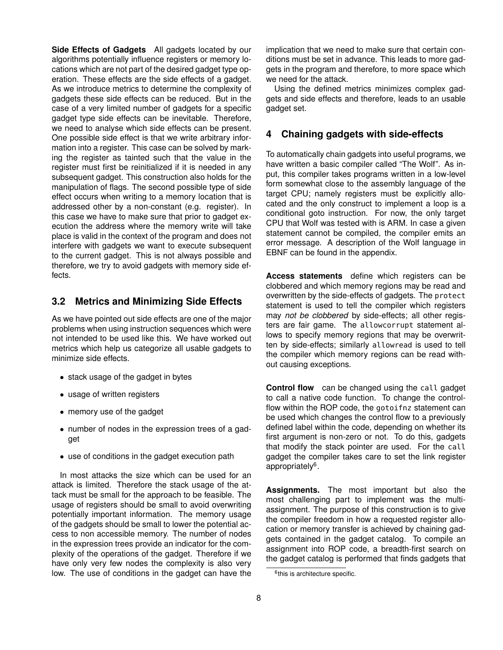**Side Effects of Gadgets** All gadgets located by our algorithms potentially influence registers or memory locations which are not part of the desired gadget type operation. These effects are the side effects of a gadget. As we introduce metrics to determine the complexity of gadgets these side effects can be reduced. But in the case of a very limited number of gadgets for a specific gadget type side effects can be inevitable. Therefore, we need to analyse which side effects can be present. One possible side effect is that we write arbitrary information into a register. This case can be solved by marking the register as tainted such that the value in the register must first be reinitialized if it is needed in any subsequent gadget. This construction also holds for the manipulation of flags. The second possible type of side effect occurs when writing to a memory location that is addressed other by a non-constant (e.g. register). In this case we have to make sure that prior to gadget execution the address where the memory write will take place is valid in the context of the program and does not interfere with gadgets we want to execute subsequent to the current gadget. This is not always possible and therefore, we try to avoid gadgets with memory side effects.

### **3.2 Metrics and Minimizing Side Effects**

As we have pointed out side effects are one of the major problems when using instruction sequences which were not intended to be used like this. We have worked out metrics which help us categorize all usable gadgets to minimize side effects.

- stack usage of the gadget in bytes
- usage of written registers
- memory use of the gadget
- number of nodes in the expression trees of a gadget
- use of conditions in the gadget execution path

In most attacks the size which can be used for an attack is limited. Therefore the stack usage of the attack must be small for the approach to be feasible. The usage of registers should be small to avoid overwriting potentially important information. The memory usage of the gadgets should be small to lower the potential access to non accessible memory. The number of nodes in the expression trees provide an indicator for the complexity of the operations of the gadget. Therefore if we have only very few nodes the complexity is also very low. The use of conditions in the gadget can have the implication that we need to make sure that certain conditions must be set in advance. This leads to more gadgets in the program and therefore, to more space which we need for the attack.

Using the defined metrics minimizes complex gadgets and side effects and therefore, leads to an usable gadget set.

### **4 Chaining gadgets with side-effects**

To automatically chain gadgets into useful programs, we have written a basic compiler called "The Wolf". As input, this compiler takes programs written in a low-level form somewhat close to the assembly language of the target CPU; namely registers must be explicitly allocated and the only construct to implement a loop is a conditional goto instruction. For now, the only target CPU that Wolf was tested with is ARM. In case a given statement cannot be compiled, the compiler emits an error message. A description of the Wolf language in EBNF can be found in the appendix.

**Access statements** define which registers can be clobbered and which memory regions may be read and overwritten by the side-effects of gadgets. The protect statement is used to tell the compiler which registers may *not be clobbered* by side-effects; all other registers are fair game. The allowcorrupt statement allows to specify memory regions that may be overwritten by side-effects; similarly allowread is used to tell the compiler which memory regions can be read without causing exceptions.

**Control flow** can be changed using the call gadget to call a native code function. To change the controlflow within the ROP code, the gotoifnz statement can be used which changes the control flow to a previously defined label within the code, depending on whether its first argument is non-zero or not. To do this, gadgets that modify the stack pointer are used. For the call gadget the compiler takes care to set the link register appropriately<sup>6</sup>.

**Assignments.** The most important but also the most challenging part to implement was the multiassignment. The purpose of this construction is to give the compiler freedom in how a requested register allocation or memory transfer is achieved by chaining gadgets contained in the gadget catalog. To compile an assignment into ROP code, a breadth-first search on the gadget catalog is performed that finds gadgets that

<sup>&</sup>lt;sup>6</sup>this is architecture specific.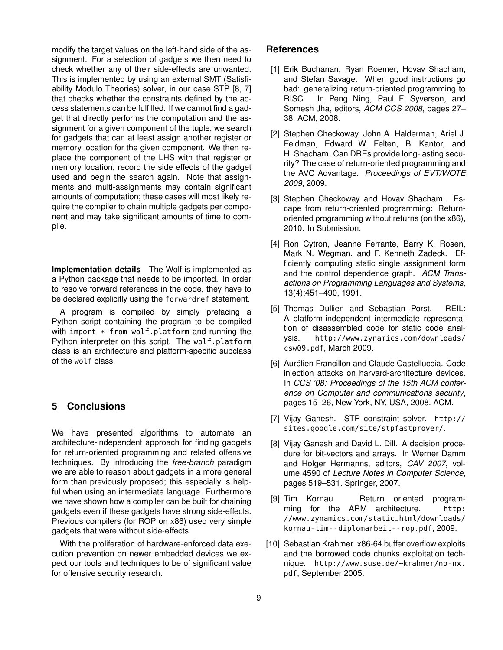modify the target values on the left-hand side of the assignment. For a selection of gadgets we then need to check whether any of their side-effects are unwanted. This is implemented by using an external SMT (Satisfiability Modulo Theories) solver, in our case STP [8, 7] that checks whether the constraints defined by the access statements can be fulfilled. If we cannot find a gadget that directly performs the computation and the assignment for a given component of the tuple, we search for gadgets that can at least assign another register or memory location for the given component. We then replace the component of the LHS with that register or memory location, record the side effects of the gadget used and begin the search again. Note that assignments and multi-assignments may contain significant amounts of computation; these cases will most likely require the compiler to chain multiple gadgets per component and may take significant amounts of time to compile.

**Implementation details** The Wolf is implemented as a Python package that needs to be imported. In order to resolve forward references in the code, they have to be declared explicitly using the forwardref statement.

A program is compiled by simply prefacing a Python script containing the program to be compiled with import  $*$  from wolf.platform and running the Python interpreter on this script. The wolf.platform class is an architecture and platform-specific subclass of the wolf class.

### **5 Conclusions**

We have presented algorithms to automate an architecture-independent approach for finding gadgets for return-oriented programming and related offensive techniques. By introducing the *free-branch* paradigm we are able to reason about gadgets in a more general form than previously proposed; this especially is helpful when using an intermediate language. Furthermore we have shown how a compiler can be built for chaining gadgets even if these gadgets have strong side-effects. Previous compilers (for ROP on x86) used very simple gadgets that were without side-effects.

With the proliferation of hardware-enforced data execution prevention on newer embedded devices we expect our tools and techniques to be of significant value for offensive security research.

### **References**

- [1] Erik Buchanan, Ryan Roemer, Hovav Shacham, and Stefan Savage. When good instructions go bad: generalizing return-oriented programming to RISC. In Peng Ning, Paul F. Syverson, and Somesh Jha, editors, *ACM CCS 2008*, pages 27– 38. ACM, 2008.
- [2] Stephen Checkoway, John A. Halderman, Ariel J. Feldman, Edward W. Felten, B. Kantor, and H. Shacham. Can DREs provide long-lasting security? The case of return-oriented programming and the AVC Advantage. *Proceedings of EVT/WOTE 2009*, 2009.
- [3] Stephen Checkoway and Hovav Shacham. Escape from return-oriented programming: Returnoriented programming without returns (on the x86), 2010. In Submission.
- [4] Ron Cytron, Jeanne Ferrante, Barry K. Rosen, Mark N. Wegman, and F. Kenneth Zadeck. Efficiently computing static single assignment form and the control dependence graph. *ACM Transactions on Programming Languages and Systems*, 13(4):451–490, 1991.
- [5] Thomas Dullien and Sebastian Porst. REIL: A platform-independent intermediate representation of disassembled code for static code analysis. http://www.zynamics.com/downloads/ csw09.pdf, March 2009.
- [6] Aurélien Francillon and Claude Castelluccia. Code injection attacks on harvard-architecture devices. In *CCS '08: Proceedings of the 15th ACM conference on Computer and communications security*, pages 15–26, New York, NY, USA, 2008. ACM.
- [7] Vijay Ganesh. STP constraint solver. http:// sites.google.com/site/stpfastprover/.
- [8] Vijay Ganesh and David L. Dill. A decision procedure for bit-vectors and arrays. In Werner Damm and Holger Hermanns, editors, *CAV 2007*, volume 4590 of *Lecture Notes in Computer Science*, pages 519–531. Springer, 2007.
- [9] Tim Kornau. Return oriented programming for the ARM architecture. http: //www.zynamics.com/static\_html/downloads/ kornau-tim--diplomarbeit--rop.pdf, 2009.
- [10] Sebastian Krahmer. x86-64 buffer overflow exploits and the borrowed code chunks exploitation technique. http://www.suse.de/~krahmer/no-nx. pdf, September 2005.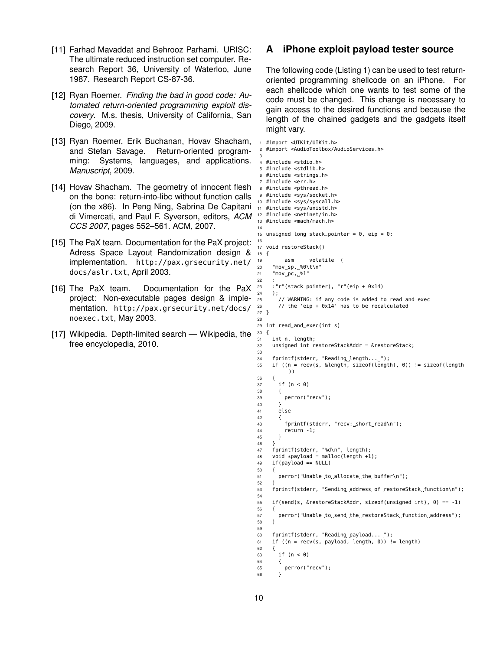- [11] Farhad Mavaddat and Behrooz Parhami. URISC: The ultimate reduced instruction set computer. Research Report 36, University of Waterloo, June 1987. Research Report CS-87-36.
- [12] Ryan Roemer. *Finding the bad in good code: Automated return-oriented programming exploit discovery*. M.s. thesis, University of California, San Diego, 2009.
- [13] Ryan Roemer, Erik Buchanan, Hovav Shacham, and Stefan Savage. Return-oriented programming: Systems, languages, and applications. *Manuscript*, 2009.
- [14] Hovav Shacham. The geometry of innocent flesh on the bone: return-into-libc without function calls (on the x86). In Peng Ning, Sabrina De Capitani di Vimercati, and Paul F. Syverson, editors, *ACM CCS 2007*, pages 552–561. ACM, 2007.
- [15] The PaX team. Documentation for the PaX project: Adress Space Layout Randomization design & implementation. http://pax.grsecurity.net/ docs/aslr.txt, April 2003.
- [16] The PaX team. Documentation for the PaX project: Non-executable pages design & implementation. http://pax.grsecurity.net/docs/ noexec.txt, May 2003.
- [17] Wikipedia. Depth-limited search Wikipedia, the free encyclopedia, 2010.

### **A iPhone exploit payload tester source**

The following code (Listing 1) can be used to test returnoriented programming shellcode on an iPhone. For each shellcode which one wants to test some of the code must be changed. This change is necessary to gain access to the desired functions and because the length of the chained gadgets and the gadgets itself might vary.

```
#import <UIKit/UIKit.h>
 2 #import <AudioToolbox/AudioServices.h>
 3
 4 #include <stdio.h>
 5 #include <stdlib.h>
 6 #include <strings.h>
 7 #include <err.h>
 8 #include <pthread.h>
9 #include <sys/socket.h>
10 #include <sys/syscall.h>
11 #include <sys/unistd.h>
12 #include <netinet/in.h>
13 #include <mach/mach.h>
14
15 unsigned long stack_pointer = 0, eip = 0;
16
17 void restoreStack()
18 {
19 __asm__ __volatile__(
20 "mov_sp, %0\lt\lt\ln"
21 "mov_pc, %1"
22 :
23 :"r"(stack_pointer), "r"(eip + 0x14)
24 );
 25 // WARNING: if any code is added to read_and_exec
26 // the 'eip + 0x14' has to be recalculated
27 }
28
29 int read_and_exec(int s)
30 {
31 int n, length;
32 unsigned int restoreStackAddr = &restoreStack;
33
34 fprintf(stderr, "Reading_length..._");
35 if ((n = recv(s, &length, sizeof(length), 0)) != sizeof(length
           ))
36 {
37 if (n < 0)
38 {
39 perror("recv");
40 }
41 else
42 {
43 fprintf(stderr, "recv: short read\n");
44 return -1;
45 }
46<br>47
     fprintf(stderr, "%d\n", length);
48 void *payload = malloc(length +1);<br>49 if(payload == NULL)
     if(pavid) == NULL)50 {
51 perror("Unable_to_allocate_the_buffer\n");
52 }
53 fprintf(stderr, "Sending address of restoreStack function\n");
54
55 if(send(s, &restoreStackAddr, sizeof(unsigned int), 0) == -1)
56 {
57 perror("Unable_to_send_the_restoreStack_function_address");<br>58 }
58 }
59
60 fprintf(stderr, "Reading_payload..._");
61 if ((n = recv(s, payload, length, 0)) != length)
\begin{array}{cc} 62 & \{ \\ 63 & \end{array}if (n < 0)64 {<br>65
       \frac{1}{3} perror("recv");
66 }
```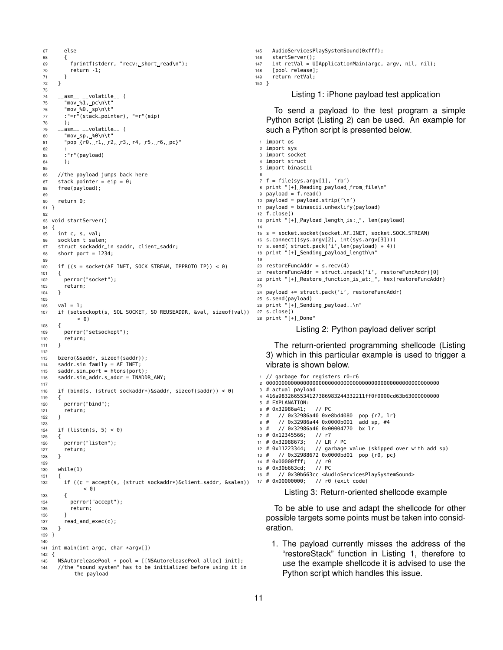```
67 else
68 {
69 fprintf(stderr, "recv: short read\n");
70 return -1;
71 }
72 }
73
74 __asm__ __volatile__ (
75 "mov_%1,_pc\n\t"
76 "mov %0, sp\n\t"
77 :"=r"(stack_pointer), "=r"(eip)
78 );<br>79 __asm
             _{--}volatile_{--} (
80 "mov sp, %0\n\t"
81 "pop {r0, r1, r2, r3, r4, r5, r6, pc}"
82
83 :"r"(payload)
84 );
85
86 //the payload jumps back here
87 stack_pointer = eip = 0;
88 free(payload);
89
90 return 0;
91 }
92
93 void startServer()
94 \{<br>95
     int c, s, val;
96 socklen_t salen;<br>97 struct sockaddr_
     struct sockaddr_in saddr, client_saddr;
98 short port = 1234;
99
100 if ((s = socket(AF_INET, SOCK_STREAM, IPPROTO_IP)) < 0)
101 \frac{1}{20}102 perror("socket");
103 return;<br>104 }
104 }
105
106 val = 1;
107 if (setsockopt(s, SOL_SOCKET, SO_REUSEADDR, &val, sizeof(val))
            \leq \theta)
108 {
109 perror("setsockopt");
110 return;<br>111 }
111 }
112
113 bzero(&saddr, sizeof(saddr));
114 saddr.sin_family = AF_INET;
115 saddr.sin_port = htons(port);
116 saddr.sin_addr.s_addr = INADDR_ANY;
117
118 if (bind(s, (struct sockaddr*)&saddr, sizeof(saddr)) < 0)
119 {
120 perror("bind");
121 return;<br>122 }
122 }
123
124 if (listen(s, 5) < 0)
125 {
126 perror("listen");
127 return;<br>128 }
128 }
129
130 while(1)
131 {
132 if ((c = accept(s, (struct sockaddr*)&client_saddr, &salen))
17 # 0x00000000; // r0 (exit code)
              < 0)133 {
134 perror("accept");<br>135 return:
         return:
136 }
137 read and exec(c):
138 }
139 }
140
141 int main(int argc, char *argv[])
142 {
143 NSAutoreleasePool * pool = [[NSAutoreleasePool alloc] init];
     //the "sound system" has to be initialized before using it in
           the payload
```
 AudioServicesPlaySystemSound(0xfff); startServer(); int retVal = UIApplicationMain(argc, argv, nil, nil); [pool release]; return retVal; } Listing 1: iPhone payload test application To send a payload to the test program a simple Python script (Listing 2) can be used. An example for such a Python script is presented below. import os import sys import socket import struct import binascii f = file(sys.argv[1], 'rb') print "[+] Reading payload from file\n" payload = f.read() payload = payload.strip('\n') payload = binascii.unhexlify(payload) f.close() 13 print "[+] Payload length is: ", len(payload) s = socket.socket(socket.AF\_INET, socket.SOCK\_STREAM) s.connect((sys.argv[2], int(sys.argv[3]))) 17 s.send( struct.pack('i',len(payload) + 4)) 18 print "[+]\_Sending\_payload\_length\n" restoreFuncAddr = s.recv(4) restoreFuncAddr = struct.unpack('i', restoreFuncAddr)[0] 22 print "[+] Restore function is at: ", hex(restoreFuncAddr) payload += struct.pack('i', restoreFuncAddr) s.send(payload) 26 print "[+]\_Sending\_payload..\n" s.close() print "[+] Done"

Listing 2: Python payload deliver script

The return-oriented programming shellcode (Listing 3) which in this particular example is used to trigger a vibrate is shown below.

```
1 // garbage for registers r0-r6
2 00000000000000000000000000000000000000000000000000000000
3 # actual payload
4 416a9832665534127386983244332211ff0f0000cd63b63000000000
5 # EXPLANATION:
6 # 0x32986a41; // PC
7 # // 0x32986a40 0xe8bd4080 pop {r7, lr}
8 # // 0x32986a44 0x0000b001 add sp, #4
9 # // 0x32986a46 0x00004770 bx lr
10 # 0x12345566; // r7<br>11 # 0x32988673; // LR / PC<br>12 # 0x11222244
11 # 0x32988673;
12 # 0 \times 11223344; // garbage value (skipped over with add sp)<br>13 # // 0 \times 32988672 0 \times 0000bd01 pop {r0, pc}
       // 0x32988672 0x0000bd01 pop {r0, pc}
14 # 0x00000fff; // r0
15 # 0x30b663cd;<br>16 # // 0x30b66
      // 0x30b663cc <AudioServicesPlaySystemSound>
          Listing 3: Return-oriented shellcode example
```
To be able to use and adapt the shellcode for other possible targets some points must be taken into consideration.

1. The payload currently misses the address of the "restoreStack" function in Listing 1, therefore to use the example shellcode it is advised to use the Python script which handles this issue.